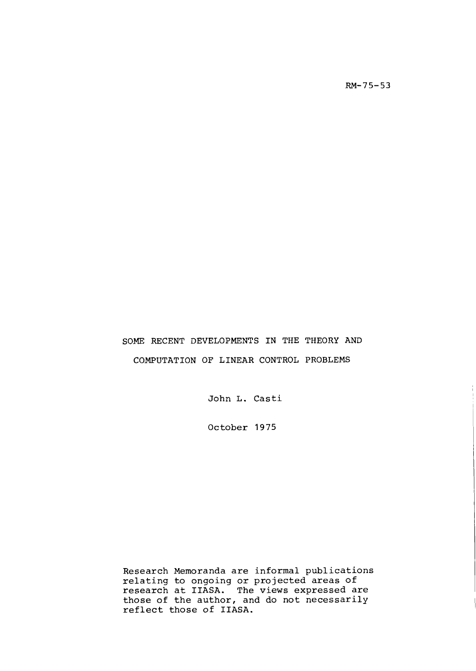$RM-75-53$ 

# SOME RECENT DEVELOPMENTS IN THE THEORY AND COMPUTATION OF LINEAR CONTROL PROBLEMS

John L. Casti

October 1975

Research Memoranda are informal publications relating to ongoing or projected areas of research at IIASA. The views expressed are those of the author, and do not necessarily reflect those of IIASA.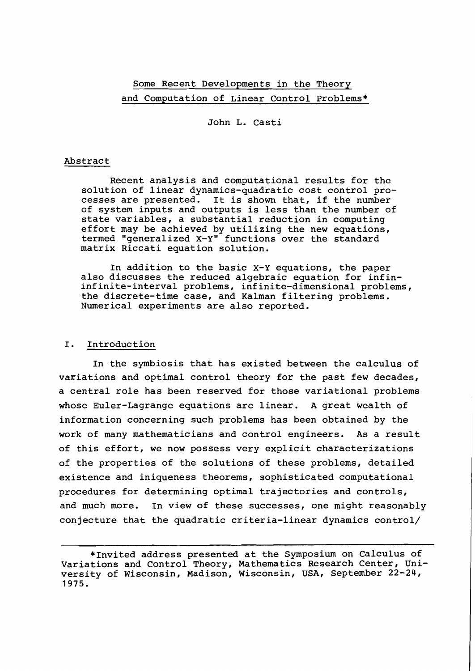# Some Recent Developments in the Theory and Computation of Linear Control Problems\*

John L. Casti

## Abstract

Recent analysis and computational results for the solution of linear dynamics-quadratic cost control processes are presented. It is shown that, if the number of system inputs and outputs is less than the number of state variables, a substantial reduction in computing effort may be achieved by utilizing the new equations, termed "generalized X-Y" functions over the standard matrix Riccati equation solution.

In addition to the basic X-Y equations, the paper also discusses the reduced algebraic equation for infininfinite-interval problems, infinite-dimensional problems, the discrete-time case, and Kalman filtering problems. Numerical experiments are also reported.

### I. Introduction

In the symbiosis that has existed between the calculus of variations and optimal control theory for the past few decades, a central role has been reserved for those variational problems whose Euler-Lagrange equations are linear. A great wealth of information concerning such problems has been obtained by the work of many mathematicians and control engineers. As a result of this effort, we now possess very explicit characterizations of the properties of the solutions of these problems, detailed existence and iniqueness theorems, sophisticated computational procedures for determining optimal trajectories and controls, and much more. In view of these successes, one might reasonably conjecture that the quadratic criteria-linear dynamics control/

<sup>\*</sup>Invited address presented at the Symposium on Calculus of Variations and Control Theory, Mathematics Research Center, University of Wisconsin, Madison, Wisconsin, USA, September 22-24, 1975.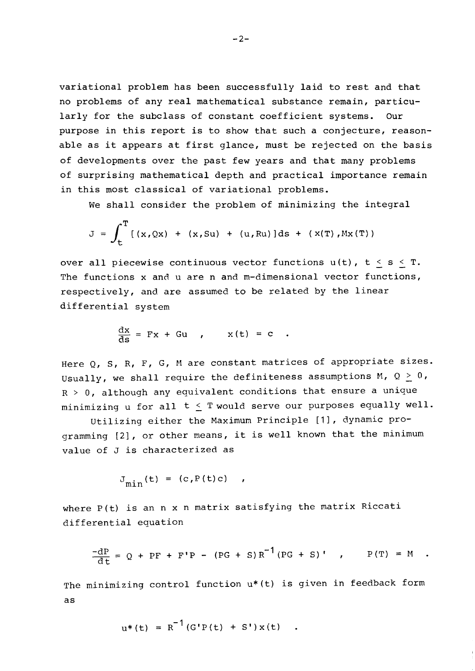variational problem has been successfully laid to rest and that no problems of any real mathematical substance remain, particularly for the subclass of constant coefficient systems. Our purpose in this report is to show that such a conjecture, reasonable as it appears at first glance, must be rejected on the basis of developments over the past few years and that many problems of surprising mathematical depth and practical importance remain in this most classical of variational problems.

We shall consider the problem of minimizing the integral

$$
J = \int_{t}^{T} [(x, Qx) + (x, Su) + (u, Ru)]ds + (x(T), Mx(T))
$$

over all piecewise continuous vector functions  $u(t)$ ,  $t \leq s \leq T$ . The functions x and u are n and m-dimensional vector functions, respectively, and. are assumed to be related by the linear differential system

$$
\frac{dx}{ds} = Fx + Gu , \qquad x(t) = c .
$$

Here Q, S, R, F, G, M are constant matrices of appropriate sizes. Usually, we shall require the definiteness assumptions M,  $Q > 0$ ,  $R$  > 0, although any equivalent conditions that ensure a unique minimizing u for all t *5* Twould serve our purposes equally well.

Utilizing either the Maximum Principle [I], dynamic programming [21, or other means, it is well known that the minimum value of **J** is characterized as

$$
J_{\min}(t) = (c, P(t)c) ,
$$

where P(t) is an n x n matrix satisfying the matrix Riccati differential equation

$$
\frac{-dP}{dt} = Q + PF + F'P - (PG + S)R^{-1}(PG + S)'
$$
 (P(f) = M)

The minimizing control function u\* (t) is given in feedback form as

$$
u^*(t) = R^{-1}(G'P(t) + S')x(t)
$$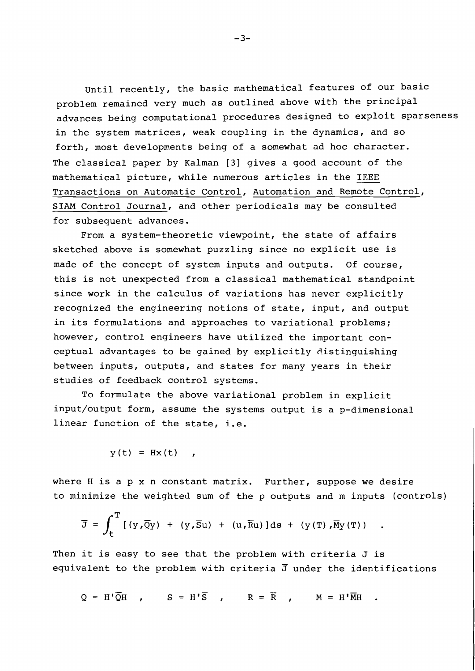Until recently, the basic mathematical features of our basic problem remained very much as outlined above with the principal advances being computational procedures designed to exploit sparseness in the system matrices, weak coupling in the dynamics, and so forth, most developments being of a somewhat ad hoc character. The classical paper by Kalman [3] gives a good account of the mathematical picture, while numerous articles in the **IEEE**  Transactions on Automatic Control, Automation and Remote Control, **SIAM** Control Journal, and other periodicals may be consulted for subsequent advances.

From a system-theoretic viewpoint, the state of affairs sketched above is somewhat puzzling since no explicit use is made of the concept of system inputs and outputs. Of course, this is not unexpected from a classical mathematical standpoint since work in the calculus of variations has never explicitly recognized the engineering notions of state, input, and output in its formulations and approaches to variational problems; however, control engineers have utilized the important conceptual advantages to be gained by explicitly distinguishing between inputs, outputs, and states for many years in their studies of feedback control systems.

To formulate the above variational problem in explicit input/output form, assume the systems output is a p-dimensional linear function of the state, i.e.

$$
y(t) = Hx(t) \quad ,
$$

where H is a p x n constant matrix. Further, suppose we desire to minimize the weighted sum of the p outputs and m inputs (controls)

$$
\overline{J} = \int_{t}^{T} [(y,\overline{Q}y) + (y,\overline{S}u) + (u,\overline{R}u)]ds + (y(T),\overline{M}y(T)).
$$

Then it is easy to see that the problem with criteria J is equivalent to the problem with criteria **3** under the identifications

 $Q = H^{\dagger} \overline{Q} H$ ,  $S = H^{\dagger} \overline{S}$ ,  $R = \overline{R}$ ,  $M = H^{\dagger} \overline{M}H$ .

 $-3-$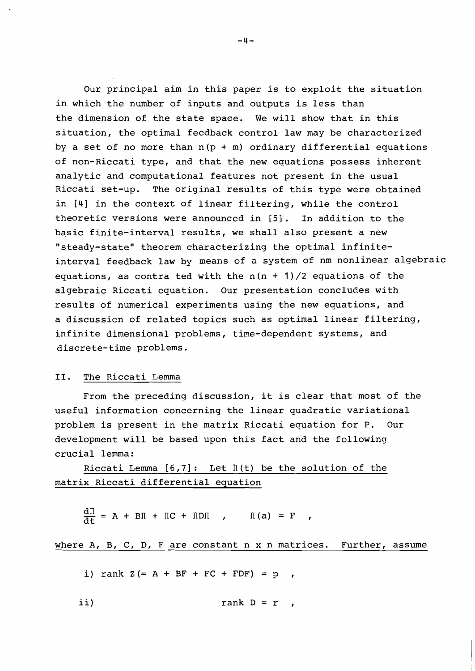Our principal aim in this paper is to exploit the situation in which the number of inputs and outputs is less than the dimension of the state space. We will show that in this situation, the optimal feedback control law may be characterized by a set of no more than  $n(p + m)$  ordinary differential equations of non-Riccati type, and that the new equations possess inherent analytic and computational features not present in the usual Riccati set-up. The original results of this type were obtained in [4] in the context of linear filtering, while the control theoretic versions were announced in [5]. In addition to the basic finite-interval results, we shall also present a new "steady-state" theorem characterizing the optimal infiniteinterval feedback law by means of a system of nm nonlinear algebraic equations, as contra ted with the  $n(n + 1)/2$  equations of the algebraic Riccati equation. Our presentation concludes with results of numerical experiments using the new equations, and a discussion of related topics such as optimal linear filtering, infinite dimensional problems, time-dependent systems, and discrete-time problems.

# 11. The Riccati Lemma

From the preceding discussion, it is clear that most of the useful information concerning the linear quadratic variational problem is present in the matrix Riccati equation for P. Our development will be based upon this fact and the following crucial lemma:

Riccati Lemma  $[6,7]$ : Let  $\mathbb{I}$  (t) be the solution of the matrix Riccati differential equation

 $\frac{dI}{dt} = A + BII + IC + IDII$  ,  $I(a) = F$  ,

where  $A$ ,  $B$ ,  $C$ ,  $D$ ,  $F$  are constant  $n \times n$  matrices. Further, assume

i) rank  $Z (= A + BF + FC + FDF) = p$ ,

$$
i i)
$$
 rank D = r ,

 $-4-$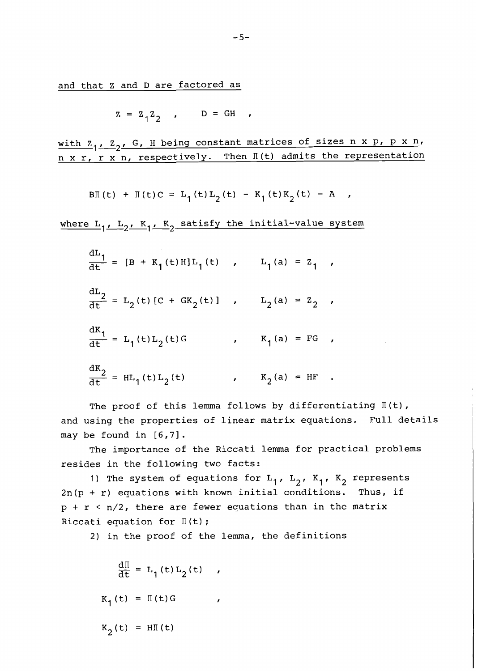and that Z and D are factored as

$$
z = z_1 z_2 , \qquad D = GH ,
$$

with  $Z_1$ ,  $Z_2$ , G, H being constant matrices of sizes n x p, p x n, n x r, r x n, respectively. Then  $\mathbb{I}$  (t) admits the representation

$$
B\Pi(t) + \Pi(t)C = L_1(t)L_2(t) - K_1(t)K_2(t) - A,
$$

where  $L_1$ ,  $L_2$ ,  $K_1$ ,  $K_2$  satisfy the initial-value system

$$
\frac{dL_1}{dt} = [B + K_1(t)H]L_1(t) , \t L_1(a) = Z_1 ,
$$
  
\n
$$
\frac{dL_2}{dt} = L_2(t) [C + GK_2(t)] , \t L_2(a) = Z_2 ,
$$
  
\n
$$
\frac{dK_1}{dt} = L_1(t)L_2(t)G , \t K_1(a) = FG ,
$$
  
\n
$$
\frac{dK_2}{dt} = HL_1(t)L_2(t) , \t K_2(a) = HF .
$$

The proof of this lemma follows by differentiating  $\mathbb{I}(\mathsf{t})$ , and using the properties of linear matrix equations. Full details may be found in [6,7].

The importance of the Riccati lemma for practical problems resides in the following two facts:

1) The system of equations for  $L_1$ ,  $L_2$ ,  $K_1$ ,  $K_2$  represents  $2n(p + r)$  equations with known initial conditions. Thus, if  $p + r < n/2$ , there are fewer equations than in the matrix Riccati equation for  $\mathbb{I}$  (t);

2) in the proof of the lemma, the definitions

$$
\frac{d\pi}{dt} = L_1(t)L_2(t)
$$
  

$$
K_1(t) = \pi(t)G
$$
  

$$
K_2(t) = H\pi(t)
$$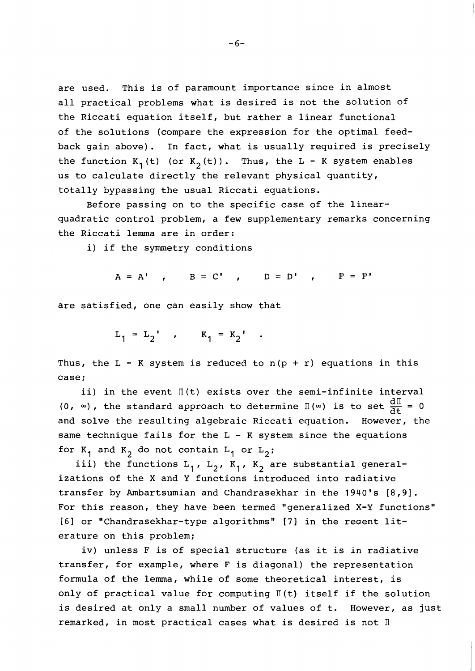are used. This is of paramount importance since in almost all practical problems what is desired is not the solution of the Riccati equation itself, but rather a linear functional of the solutions (compare the expression for the optimal feedback gain above). In fact, what is usually required is precisely the function  $K_1(t)$  (or  $K_2(t)$ ). Thus, the  $L - K$  system enables us to calculate directly the relevant physical quantity, totally bypassing the usual Riccati equations.

Before passing on to the specific case of the linearquadratic control problem, a few supplementary remarks concerning the Riccati lemma are in order:

i) if the symmetry conditions

 $A = A'$  ,  $B = C'$  ,  $D = D'$  ,  $F = F'$ 

are satisfied, one can easily show that

 $L_1 = L_2'$ ,  $K_1 = K_2'$ .

Thus, the  $L - K$  system is reduced to  $n(p + r)$  equations in this case;

ii) in the event  $\mathbb{I}(\mathsf{t})$  exists over the semi-infinite interval (0,  $\infty$ ), the standard approach to determine II ( $\infty$ ) is to set  $\frac{dI}{dt} = 0$ and solve the resulting algebraic Riccati equation. However, the same technique fails for the L - **K** system since the equations for  $K_1$  and  $K_2$  do not contain  $L_1$  or  $L_2$ ;

iii) the functions  $L_1$ ,  $L_2$ ,  $K_1$ ,  $K_2$  are substantial generalizations of the X and Y functions introduced into radiative transfer by Ambartsumian and Chandrasekhar in the 1940's [8,9]. For this reason, they have been termed "generalized X-Y functions"  $[6]$  or "Chandrasekhar-type algorithms"  $[7]$  in the recent literature on this problem;

iv) unless F is of special structure (as it is in radiative transfer, for example, where F is diagonal) the representation formula of the lemma, while of some theoretical interest, is only of practical value for computing  $\P$ (t) itself if the solution is desired at only a small number of values of t. However, as just remarked, in most practical cases what is desired is not II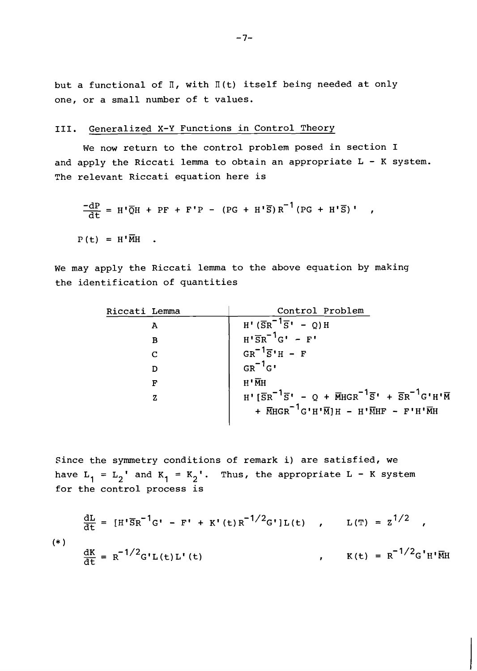but a functional of  $\mathbb{I}$ , with  $\mathbb{I}$  (t) itself being needed at only one, or a small number of t values.

# **111.** Generalized X-Y Functions in Control Theory

We now return to the control problem posed in section I and apply the Riccati lemma to obtain an appropriate L - K system. The relevant Riccati equation here is

$$
\frac{-\mathrm{dP}}{\mathrm{d}t} = H' \overline{Q}H + PF + F'P - (PG + H'\overline{S})R^{-1}(PG + H'\overline{S})'
$$

 $P(t) = H' \overline{M}H$ .

We may apply the Riccati lemma to the above equation by making the identification of quantities

| Riccati Lemma | Control Problem                                                                               |
|---------------|-----------------------------------------------------------------------------------------------|
| A             | $H' (\overline{S}R^{-1}\overline{S}' - Q)H$                                                   |
| в             | $H' \overline{S}R^{-1}G' - F'$                                                                |
| $\mathsf{C}$  | $GR^{-1}\overline{S}H - F$                                                                    |
| D             | $GR^{-1}G$ '                                                                                  |
| F             | $H^{\bullet}$ $\overline{M}$ $H$                                                              |
| z             | $H' [\bar{S}R^{-1}\bar{S}' - Q + \bar{M}HGR^{-1}\bar{S}' + \bar{S}R^{-1}G'H'\bar{M}]$         |
|               | + $\overline{M} H G R^{-1} G' H' \overline{M} H - H' \overline{M} H F - F' H' \overline{M} H$ |
|               |                                                                                               |

Since the symmetry conditions of remark i) are satisfied, we have  $L_1 = L_2'$  and  $K_1 = K_2'$ . Thus, the appropriate  $L - K$  system for the control process is

$$
\frac{dL}{dt} = [H' \overline{S}R^{-1}G' - F' + K'(t)R^{-1/2}G']L(t) , L(T) = Z^{1/2} ,
$$
  
\n
$$
\frac{dK}{dt} = R^{-1/2}G'L(t)L'(t) , K(t) = R^{-1/2}G'H'\overline{M}H
$$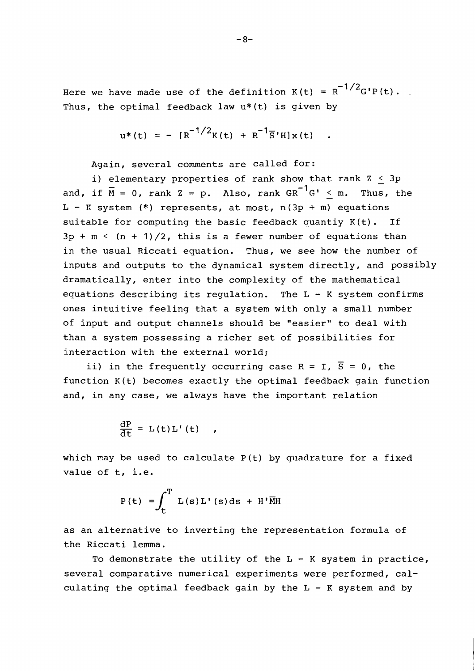Here we have made use of the definition  $K(t) = R^{-1/2}G'P(t)$ . Thus, the optimal feedback law u\*(t) is given by

$$
u^{*}(t) = - [R^{-1/2}K(t) + R^{-1}\overline{S}^{\dagger}H]x(t) .
$$

Again, several comments are called for:

i) elementary properties of rank show that rank  $Z \leq 3p$ <br>and, if  $\overline{M} = 0$ , rank  $Z = p$ . Also, rank  $GR^{-1}G' < m$ . Thus, the <sup>L</sup>- **1:** system **(\*t)** represents, at most, n(3p + m) equations suitable for computing the basic feedback quantiy K(t). If  $3p + m < (n + 1)/2$ , this is a fewer number of equations than in the usual Riccati equation. Thus, we see how the number of inputs and outputs to the dynamical system directly, and possibly dramatically, enter into the complexity of the mathematical equations describing its requlation. The  $L - K$  system confirms ones intuitive feeling that a system with only a small number of input and output channels should be "easier" to deal with than a system possessing a richer set of possibilities for interaction with the external world;<br>ii) in the frequently occurring case R = I,  $\overline{S}$  = 0, the

function K(t) becomes exactly the optimal feedback gain function and, in any case, we always have the inportant relation

$$
\frac{\mathrm{d}P}{\mathrm{d}t} = L(t)L'(t)
$$

which may be used to calculate  $P(t)$  by quadrature for a fixed value of t, i.e.

$$
P(t) = \int_{t}^{T} L(s) L'(s) ds + H'\overline{M}H
$$

as an alternative to inverting the representation formula of the Riccati lemma.

To demonstrate the utility of the  $L - K$  system in practice, several comparative numerical experiments were performed, calculating the optimal feedback gain by the  $L - K$  system and by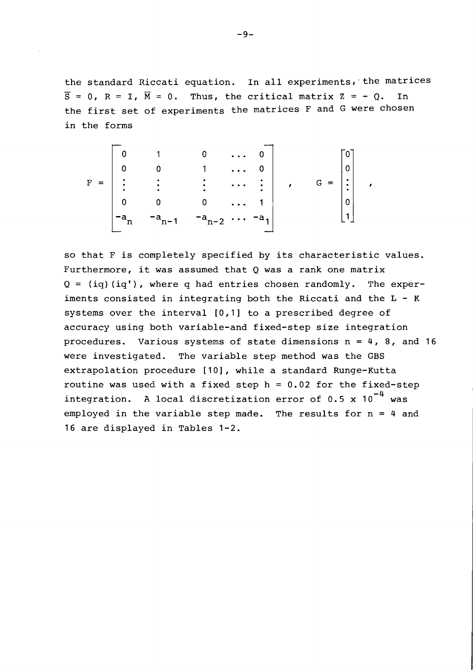the standard Riccati equation. In all experiments, the matrices  $\overline{S} = 0$ ,  $R = I$ ,  $\overline{M} = 0$ . Thus, the critical matrix  $Z = -0$ . In  $\overline{S} = 0$ ,  $R = I$ ,  $\overline{M} = 0$ . Thus, the critical matrix  $Z = -Q$ . the first set of experiments the matrices F and **G** were chosen in the forms

$$
F = \begin{bmatrix} 0 & 1 & 0 & \cdots & 0 \\ 0 & 0 & 1 & \cdots & 0 \\ \vdots & \vdots & \vdots & \ddots & \vdots \\ 0 & 0 & 0 & \cdots & 1 \\ -a_{n} & -a_{n-1} & -a_{n-2} & \cdots & -a_{1} \end{bmatrix}, \quad G = \begin{bmatrix} 0 \\ 0 \\ \vdots \\ 0 \\ 1 \end{bmatrix}
$$

so that F is completely specified by its characteristic values. Furthermore, it was assumed that Q was a rank one matrix  $Q = (iq)(iq)$ , where q had entries chosen randomly. The experiments consisted in integrating both the Riccati and the  $L - K$ systems over the interval [0,1] to a prescribed degree of accuracy using both variable-and fixed-step size integration procedures. Various systems of state dimensions  $n = 4$ , 8, and 16 were investigated. The variable step method was the **GBS**  extrapolation procedure [10], while a standard Runge-Kutta routine was used with a fixed step  $h = 0.02$  for the fixed-step integration. A local discretization error of 0.5 x  $10^{-4}$  was employed in the variable step made. The results for  $n = 4$  and 16 are displayed in Tables 1-2.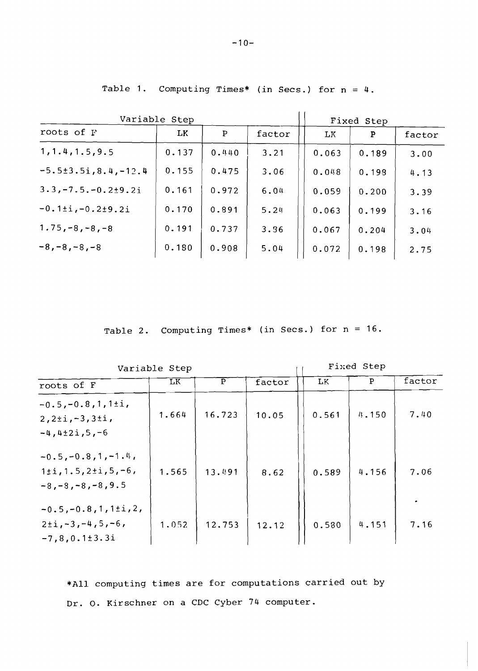|  |  | Table 1. Computing Times* (in Secs.) for $n = 4$ . |  |  |  |  |  |  |  |  |
|--|--|----------------------------------------------------|--|--|--|--|--|--|--|--|
|--|--|----------------------------------------------------|--|--|--|--|--|--|--|--|

| Variable Step                | Fixed Step |              |        |       |       |        |
|------------------------------|------------|--------------|--------|-------|-------|--------|
| roots of F                   | LK         | $\mathbf{P}$ | factor | LК    | P     | factor |
| 1, 1.4, 1.5, 9.5             | 0.137      | 0.440        | 3.21   | 0.063 | 0.189 | 3.00   |
| $-5.5 \pm 3.5$ i, 8.4, -12.4 | 0.155      | 0.475        | 3.06   | 0.048 | 0.198 | 4.13   |
| $3.3, -7.5, -0.2 \pm 9.2$ i  | 0.161      | 0.972        | 6.04   | 0.059 | 0.200 | 3.39   |
| $-0.1 \pm i, -0.2 \pm 9.2 i$ | 0.170      | 0.891        | 5.24   | 0.063 | 0.199 | 3.16   |
| $1.75, -8, -8, -8$           | 0.191      | 0.737        | 3.36   | 0.067 | 0.204 | 3.04   |
| $-8, -8, -8, -8$             | 0.180      | 0.908        | 5.04   | 0.072 | 0.198 | 2.75   |

Table 2. Computing Times\* (in Secs.) for n = 16.

| Variable Step                                                                   | Fixed Step |              |        |       |       |        |
|---------------------------------------------------------------------------------|------------|--------------|--------|-------|-------|--------|
| roots of F                                                                      | <b>LK</b>  | $\mathbf{P}$ | factor | LK.   | P     | factor |
| $-0.5, -0.8, 1, 1 \pm i,$<br>$2, 2 \pm i, -3, 3 \pm i,$<br>$-4, 4\pm 2i, 5, -6$ | 1.664      | 16.723       | 10.05  | 0.561 | 4.150 | 7.40   |
| $-0.5, -0.8, 1, -1.4,$<br>$1:1,1.5,2:1,5,-6$<br>$-8, -8, -8, -8, 9.5$           | 1.565      | 13.491       | 8.62   | 0.589 | 4,156 | 7.06   |
| $-0.5, -0.8, 1, 1 \pm i, 2,$<br>$2+i, -3, -4, 5, -6,$<br>$-7, 8, 0.1 \pm 3.3i$  | 1.052      | 12.753       | 12.12  | 0.580 | 4.151 | 7.16   |

\*All computing times are for computations carried out by Dr. 0. Kirschner on a CDC Cyber 74 computer.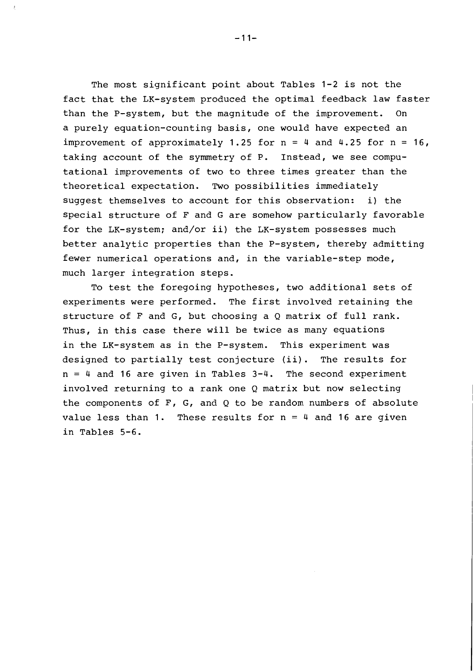The most significant point about Tables 1-2 is not the fact that the LK-system produced the optimal feedback law faster than the P-system, but the magnitude of the improvement. On a purely equation-counting basis, one would have expected an improvement of approximately 1.25 for  $n = 4$  and 4.25 for  $n = 16$ , taking account of the symmetry of P. Instead, we see computational improvements of two to three times greater than the theoretical expectation. Two possibilities immediately suggest themselves to account for this observation: i) the special structure of F and G are somehow particularly favorable for the LK-system; and/or ii) the LK-system possesses much better analytic properties than the P-system, thereby admitting fewer numerical operations and, in the variable-step mode, much larger integration steps.

To test the foregoing hypotheses, two additional sets of experiments were performed. The first involved retaining the structure of F and G, but choosing a Q matrix of full rank. Thus, in this case there will be twice as many equations in the LK-system as in the P-system. This experiment was designed to partially test conjecture (ii). The results for  $n = 4$  and 16 are given in Tables  $3-4$ . The second experiment involved returning to a rank one Q matrix but now selecting the components of  $F$ ,  $G$ , and  $Q$  to be random numbers of absolute value less than 1. These results for  $n = 4$  and 16 are given in Tables 5-6.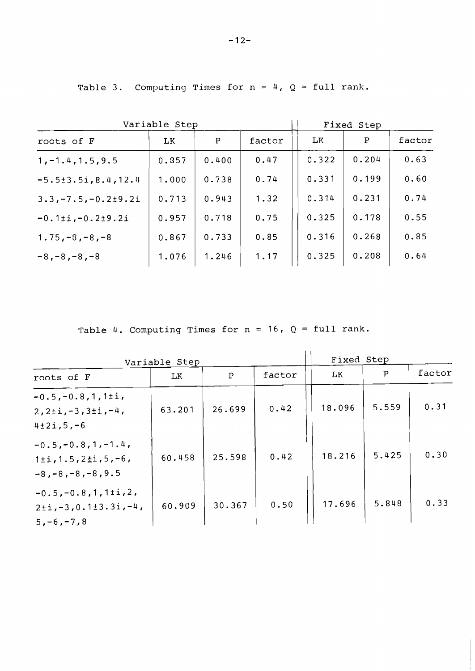Table 3. Computing Times for  $n = 4$ ,  $Q = \text{full rank.}$ 

| Variable Step                | Fixed Step |              |        |       |       |        |
|------------------------------|------------|--------------|--------|-------|-------|--------|
| roots of F                   | LK.        | $\mathbf{P}$ | factor | LK    | P     | factor |
| $1, -1.4, 1.5, 9.5$          | 0.857      | 0.400        | 0.47   | 0.322 | 0.204 | 0.63   |
| $-5.5 \pm 3.5$ i, 8.4, 12.4  | 1.000      | 0.738        | 0.74   | 0.331 | 0.199 | 0.60   |
| $3.3, -7.5, -0.2 \pm 9.2$ i  | 0.713      | 0.943        | 1.32   | 0.314 | 0.231 | 0.74   |
| $-0.1 \pm i, -0.2 \pm 9.2 i$ | 0.957      | 0.718        | 0.75   | 0.325 | 0.178 | 0.55   |
| $1.75, -8, -8, -8$           | 0.867      | 0.733        | 0.85   | 0.316 | 0.268 | 0.85   |
| $-8, -8, -8, -8$             | 1.076      | 1.246        | 1.17   | 0.325 | 0.208 | 0.64   |

**Table 4. Computing Times for n** = **16, Q** = **full rank.** 

| Variable Step                                                                          | Fixed Step |              |        |        |              |        |
|----------------------------------------------------------------------------------------|------------|--------------|--------|--------|--------------|--------|
| roots of F                                                                             | LK         | $\mathbf{P}$ | factor | LK     | $\mathbf{P}$ | factor |
| $-0.5, -0.8, 1, 1 \pm i,$<br>$2, 2 \pm i, -3, 3 \pm i, -4,$<br>$4\pm 2i, 5, -6$        | 63.201     | 26.699       | 0.42   | 18.096 | 5.559        | 0.31   |
| $-0.5, -0.8, 1, -1.4,$<br>$1 \pm i$ , 1.5, 2 $\pm i$ , 5, -6,<br>$-8, -8, -8, -8, 9.5$ | 60.458     | 25.598       | 0.42   | 18.216 | 5.425        | 0.30   |
| $-0.5, -0.8, 1, 1 \pm i, 2,$<br>$2 \pm i$ , -3, 0.1 $\pm 3.3i$ , -4,<br>$5, -6, -7, 8$ | 60.909     | 30.367       | 0.50   | 17.696 | 5.848        | 0.33   |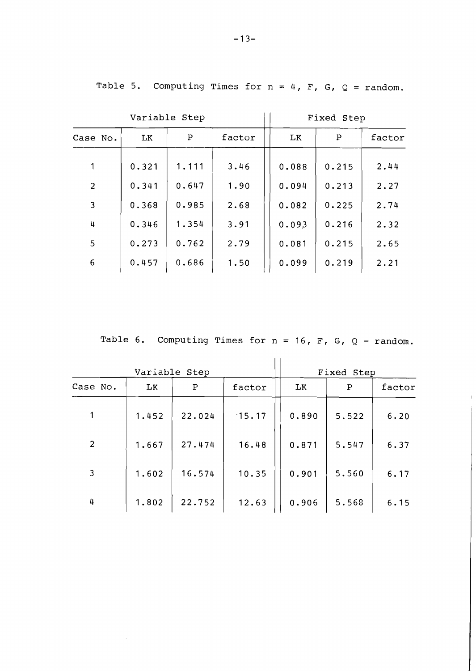**Variable Step**   $\begin{array}{|c|c|c|c|c|c|c|c|c|} \hline \text{6} & \text{0.457} & \text{0.686} & \text{1.50} & \text{0.099} & \text{0.219} & \text{2.21} \ \hline \end{array}$ **Case No.**  1 2 3 4 5 **LK**  0.088 0.094 0.082 0.093 0.081 **LK**  0.321 0.341 0.368 0.346 0.273 **P**  0.215 0.213 0.225 0.216 0.215 **P**  1.111 0.647 0.985 1.354 0.762 **factor**  2.44 2.27 2.74 2.32 2.65 **factor**  3.46 1.90 2.68 3.91 2.79

Table 5. Computing Times for  $n = 4$ ,  $F$ ,  $G$ ,  $Q = \text{random}$ .

**Fixed Step** 

Table 6. Computing Times for  $n = 16$ ,  $F$ ,  $G$ ,  $Q = \text{random}$ .

|          |       | Variable Step |        | Fixed Step |       |        |
|----------|-------|---------------|--------|------------|-------|--------|
| Case No. | LK.   | P             | factor | LK.        | Ρ     | factor |
|          | 1.452 | 22.024        | 15.17  | 0.890      | 5.522 | 6.20   |
| 2        | 1.667 | 27.474        | 16.48  | 0.871      | 5.547 | 6.37   |
| 3        | 1.602 | 16.574        | 10.35  | 0.901      | 5.560 | 6.17   |
| 4        | 1.802 | 22.752        | 12.63  | 0.906      | 5.568 | 6.15   |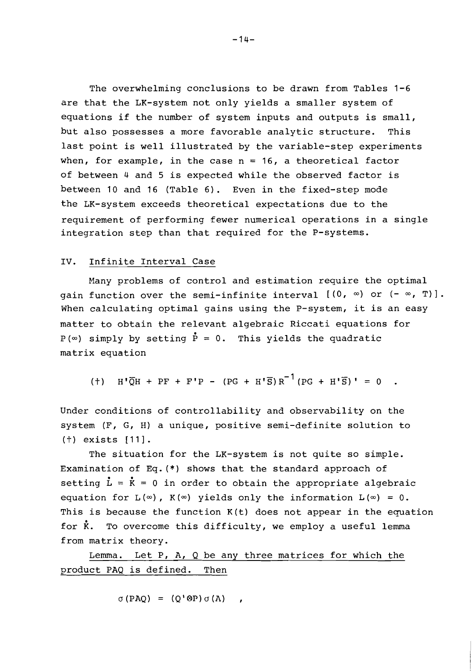The overwhelming conclusions to be drawn from Tables 1-6 are that the LK-system not only yields a smaller system of equations if the number of system inputs and outputs is small, but also possesses a more favorable analytic structure. This last point is well illustrated by the variable-step experiments when, for example, in the case  $n = 16$ , a theoretical factor of between 4 and 5 is expected while the observed factor is between 10 and 16 (Table 6). Even in the fixed-step mode the LK-system exceeds theoretical expectations due to the requirement of performing fewer numerical operations in a single integration step than that required for the P-systems.

## IV. Infinite Interval Case

Many problems of control and estimation require the optimal gain function over the semi-infinite interval  $[(0, \infty)$  or  $(-\infty, T)]$ . When calculating optimal gains using the P-system, it is an easy matter to obtain the relevant algebraic Riccati equations for  $P(\infty)$  simply by setting  $\dot{P} = 0$ . This yields the quadratic matrix equation

(†)  $H' \overline{Q}H + PF + F'P - (PG + H' \overline{S})R^{-1}(PG + H' \overline{S})' = 0$ .

Under conditions of controllability and observability on the system (F, G, H) a unique, positive semi-definite solution to (t) exists [Ill.

The situation for the LK-system is not quite so simple. Examination of Eq. (\*) shows that the standard approach of setting  $\mathbf{L} = \mathbf{K} = 0$  in order to obtain the appropriate algebraic equation for  $L(\infty)$ ,  $K(\infty)$  yields only the information  $L(\infty) = 0$ . This is because the function  $K(t)$  does not appear in the equation for **k.** To overcome this difficulty, we employ a useful lemma from matrix theory.

Lemma. Let P,  $A$ , Q be any three matrices for which the product PAQ is defined. Then

 $\sigma$  (PAQ) = (Q'\\times\peq (A)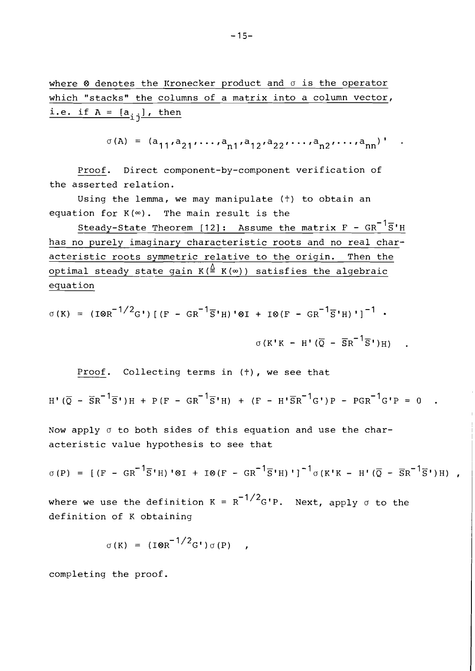$-15-$ 

where  $\otimes$  denotes the Kronecker product and  $\sigma$  is the operator which "stacks" the columns of a matrix into a column vector, i.e. if  $A = [a_{i,j}]$ , then

 $\sigma(A) = (a_{11}, a_{21}, \ldots, a_{n1}, a_{12}, a_{22}, \ldots, a_{n2}, \ldots, a_{nn})$ '.

Proof. Direct component-by-component verification of the asserted relation.

Using the lemma, we may manipulate  $(+)$  to obtain an equation for  $K(\infty)$ . The main result is the

 $Steady-State Theorem [12]: Assume the matrix  $F - GR^{-1}\overline{S}'H$$ has no purely imaginary characteristic roots and no real characteristic roots symmetric relative to the origin. Then the optimal steady state gain  $K(\stackrel{\Delta}{=} K(\infty))$  satisfies the algebraic equation

$$
\sigma(K) = (I \otimes R^{-1/2} G^{\prime}) \left[ (F - GR^{-1} \overline{S}^{\prime} H)^{\prime} \otimes I + I \otimes (F - GR^{-1} \overline{S}^{\prime} H)^{\prime} \right]^{-1} \cdot
$$

$$
\sigma(K^{'} K - H^{\prime} (\overline{Q} - \overline{S} R^{-1} \overline{S}^{\prime}) H)
$$

Proof. Collecting terms in (t), we see that

$$
H'(\overline{Q} - \overline{S}R^{-1}\overline{S}')H + P(F - GR^{-1}\overline{S}'H) + (F - H'\overline{S}R^{-1}G')P - PGR^{-1}G'P = 0
$$

Now apply  $\sigma$  to both sides of this equation and use the characteristic value hypothesis to see that

$$
\sigma(P) = [(F - GR^{-1}\overline{S}'H)' \otimes I + I \otimes (F - GR^{-1}\overline{S}'H)']^{-1} \sigma(K'K - H'(\overline{Q} - \overline{S}R^{-1}\overline{S}')H)
$$
,

where we use the definition K =  $R^{-1/2}$ G'P. Next, apply  $\sigma$  to the definition of K obtaining

$$
\sigma(K) = (100R^{-1/2}G^{\dagger})\sigma(P)
$$

completing the proof.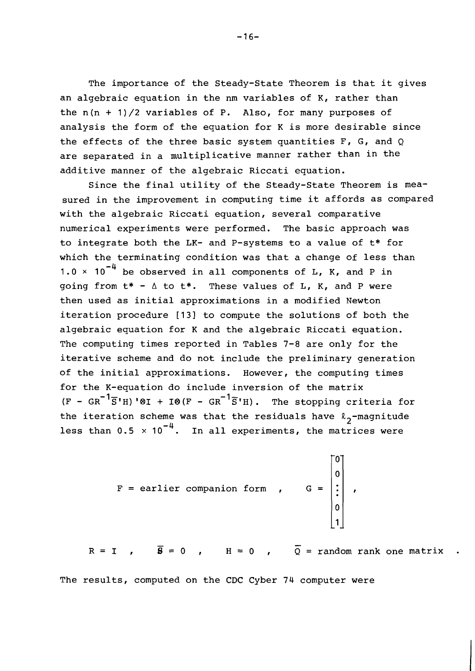The importance of the Steady-State Theorem is that it gives an algebraic equation in the nm variables of  $K$ , rather than the  $n(n + 1)/2$  variables of P. Also, for many purposes of analysis the form of the equation for K is more desirable since the effects of the three basic system quantities  $F$ ,  $G$ , and  $Q$ are separated in a multiplicative manner rather than in the additive manner of the algebraic Riccati equation.

Since the final utility of the Steady-State Theorem is measured in the improvement in computing time it affords as compared with the algebraic Riccati equation, several comparative numerical experiments were performed. The basic approach was to integrate both the LK- and P-systems to a value of t\* for which the terminating condition was that a change of less than 1.0  $\times$  10<sup>-4</sup> be observed in all components of L, K, and P in going from  $t^* - \Delta t$  to  $t^*$ . These values of L, K, and P were then used as initial approximations in a modified Newton iteration procedure [13] to compute the solutions of both the algebraic equation for K and the algebraic Riccati equation. The computing times reported in Tables 7-8 are only for the iterative scheme and do not include the preliminary generation of the initial approximations. However, the computing times for the K-equation do include inversion of the matrix  $(F - GR^{-1}\overline{S'H})'$   $\otimes$  +  $I$   $\otimes$   $(F - GR^{-1}\overline{S'H})$ . The stopping criteria for the iteration scheme was that the residuals have  $\ell_2$ -magnitude less than 0.5 **x** In all experiments, the matrices were

$$
F = \text{earlier companion form} \qquad G = \begin{bmatrix} 0 \\ 0 \\ \vdots \\ 0 \\ 1 \end{bmatrix}
$$

 $\overline{e}$  - 0  $\overline{u}$  - 0  $\overline{0}$  - 0  $\overline{0}$  $R = I$  ,  $\overline{S} = 0$  ,  $H = 0$  ,  $\overline{Q} = \text{random rank one matrix}$  .

The results, computed on the CDC Cyber 74 computer were

 $-16-$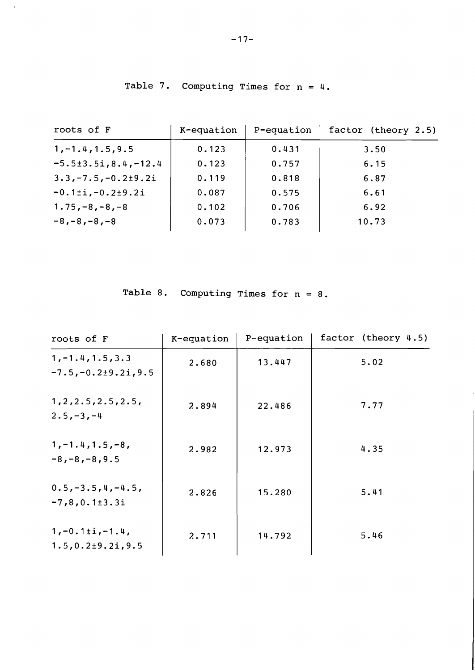| roots of F                     | K-equation | P-equation | factor (theory 2.5) |
|--------------------------------|------------|------------|---------------------|
| $1, -1.4, 1.5, 9.5$            | 0.123      | 0.431      | 3.50                |
| $-5.5 \pm 3.5$ i, 8.4, $-12.4$ | 0.123      | 0.757      | 6.15                |
| $3.3, -7.5, -0.2 \pm 9.2i$     | 0.119      | 0.818      | 6.87                |
| $-0.1 \pm i, -0.2 \pm 9.2 i$   | 0.087      | 0.575      | 6.61                |
| $1.75, -8, -8, -8$             | 0.102      | 0.706      | 6.92                |
| $-8, -8, -8, -8$               | 0.073      | 0.783      | 10.73               |

Table 7. Computing Times for  $n = 4$ .

 $\bar{\lambda}$ 

Table 8. Computing Times for  $n = 8$ .

| roots of F                                         | K-equation | P-equation | factor (theory 4.5) |
|----------------------------------------------------|------------|------------|---------------------|
| $1, -1.4, 1.5, 3.3$<br>$-7.5, -0.2 \pm 9.2$ i, 9.5 | 2.680      | 13.447     | 5.02                |
| 1, 2, 2.5, 2.5, 2.5,<br>$2.5, -3, -4$              | 2.894      | 22.486     | 7.77                |
| $1, -1.4, 1.5, -8,$<br>$-8, -8, -8, 9.5$           | 2.982      | 12.973     | 4.35                |
| $0.5, -3.5, 4, -4.5,$<br>$-7,8,0.1\pm3.3i$         | 2.826      | 15.280     | 5.41                |
| $1, -0.1 \pm i, -1.4$ ,<br>$1.5, 0.2 + 9.2i, 9.5$  | 2.711      | 14.792     | 5.46                |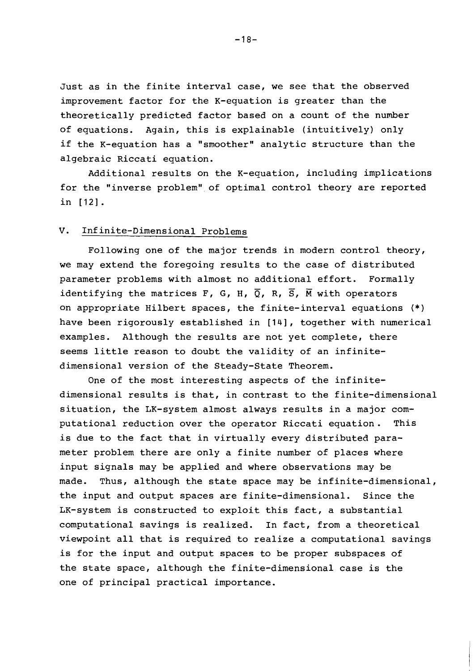Just as in the finite interval case, we see that the observed improvement factor for the K-equation is greater than the theoretically predicted factor based on a count of the number of equations. Again, this is explainable (intuitively) only if the K-equation has a "smoother" analytic structure than the algebraic Riccati equation.

Additional results on the K-equation, including implications for the "inverse problem" of optimal control theory are reported in [12].

# **V.** Infinite-Dimensional Problems

Following one of the major trends in modern control theory, we may extend the foregoing results to the case of distributed parameter problems with almost no additional effort. Formally identifying the matrices F, G, H,  $\overline{Q}$ , R,  $\overline{S}$ ,  $\overline{M}$  with operators on appropriate Hilbert spaces, the finite-interval equations (\*) have been rigorously established in [14], together with numerical examples. Although the results are not yet complete, there seems little reason to doubt the validity of an infinitedimensional version of the Steady-State Theorem.

One of the most interesting aspects of the infinitedimensional results is that, in contrast to the finite-dimensional situation, the LK-system almost always results in a major computational reduction over the operator Riccati equation. This is due to the fact that in virtually every distributed parameter problem there are only a finite number of places where input signals may be applied and where observations may be made. Thus, although the state space may be infinite-dimensional, the input and output spaces are finite-dimensional. Since the LK-system is constructed to exploit this fact, a substantial computational savings is realized. In fact, from a theoretical viewpoint all that is required to realize a computational savings is for the input and output spaces to be proper subspaces of the state space, although the finite-dimensional case is the one of principal practical importance.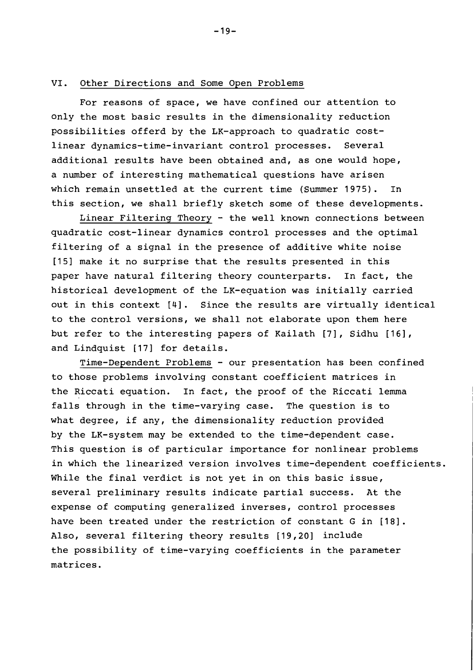#### VI. Other Directions and Some Open Problems

For reasons of space, we have confined our attention to only the most basic results in the dimensionality reduction possibilities offerd by the LK-approach to quadratic costlinear dynamics-time-invariant control processes. Several additional results have been obtained and, as one would hope, a number of interesting mathematical questions have arisen which remain unsettled at the current time (Summer 1975). In this section, we shall briefly sketch some of these developments.

Linear Filtering Theory - the well known connections between quadratic cost-linear dynamics control processes and the optimal filtering of a signal in the presence of additive white noise [15] make it no surprise that the results presented in this paper have natural filtering theory counterparts. In fact, the historical development of the LK-equation was initially carried out in this context [4]. Since the results are virtually identical to the control versions, we shall not elaborate upon them here but refer to the interesting papers of Kailath [7], Sidhu [161, and Lindquist [17] for details.

Time-Dependent Problems - our presentation has been confined to those problems involving constant coefficient matrices in the Riccati equation. In fact, the proof of the Riccati lemma falls through in the time-varying case. The question is to what degree, if any, the dimensionality reduction provided by the LK-system may be extended to the time-dependent case. This question is of particular importance for nonlinear problems in which the linearized version involves time-dependent coefficients. While the final verdict is not yet in on this basic issue, several preliminary results indicate partial success. At the expense of computing generalized inverses, control processes have been treated under the restriction of constant G in [18]. Also, several filtering theory results [19,20] include the possibility of time-varying coefficients in the parameter matrices.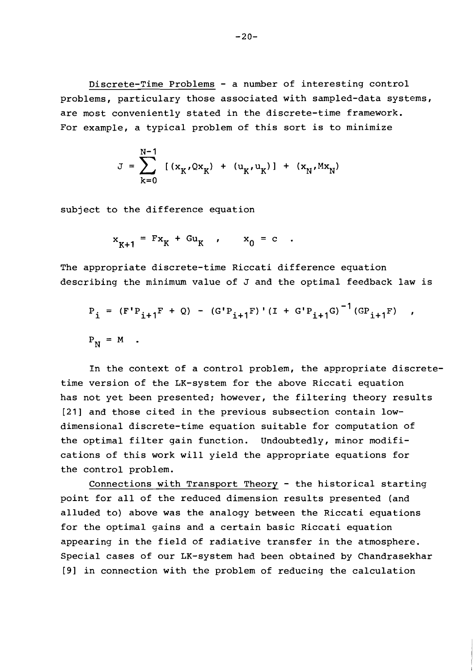Discrete-Time Problems - a number of interesting control problems, particulary those associated with sampled-data systems, are most conveniently stated in the discrete-time framework. For example, a typical problem of this sort is to minimize

$$
J = \sum_{k=0}^{N-1} [(x_K, Qx_K) + (u_K, u_K)] + (x_N, Mx_N)
$$

subject to the difference equation

$$
x_{K+1} = Fx_K + Gu_K , \qquad x_0 = c .
$$

The appropriate discrete-time Riccati difference equation describing the minimum value of J and the optimal feedback law is

$$
P_{i} = (F'P_{i+1}F + Q) - (G'P_{i+1}F)'(I + G'P_{i+1}G)^{-1}(GP_{i+1}F) ,
$$
  

$$
P_{N} = M .
$$

In the context of a control problem, the appropriate discretetime version of the LK-system for the above Riccati equation has not yet been presented; however, the filtering theory results [21] and those cited in the previous subsection contain lowdimensional discrete-time equation suitable for computation of the optimal filter gain function. Undoubtedly, minor modifications of this work will yield the appropriate equations for the control problem.

Connections with Transport Theory - the historical starting point for all of the reduced dimension results presented (and alluded to) above was the analogy between the Riccati equations for the optimal gains and a certain basic Riccati equation appearing in the field of radiative transfer in the atmosphere. Special cases of our LK-system had been obtained by Chandrasekhar [91 in connection with the problem of reducing the calculation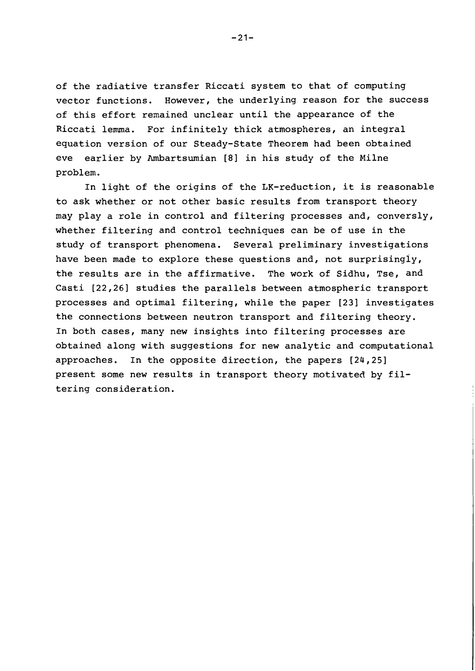of the radiative transfer Riccati system to that of computing vector functions. However, the underlying reason for the success of this effort remained unclear until the appearance of the Riccati lemma. For infinitely thick atmospheres, an integral equation version of our Steady-State Theorem had been obtained eve earlier by Ambartsumian [8] in his study of the Milne problem.

In light of the origins of the LK-reduction, it is reasonable to ask whether or not other basic results from transport theory may play a role in control and filtering processes and, conversly, whether filtering and control techniques can be of use in the study of transport phenomena. Several preliminary investigations have been made to explore these questions and, not surprisingly, the results are in the affirmative. The work of Sidhu, Tse, and Casti [22,26] studies the parallels between atmospheric transport processes and optimal filtering, while the paper [231 investigates the connections between neutron transport and filtering theory. In both cases, many new insights into filtering processes are obtained along with suggestions for new analytic and computational approaches. In the opposite direction, the papers [24,25] present some new results in transport theory motivated by filtering consideration.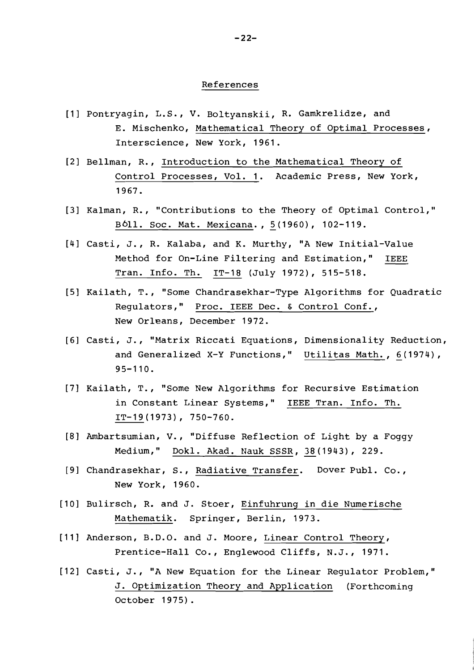### References

- [I] Pontryagin, L.S., V. Boltyanskii, R. Gamkrelidze, and E. Mischenko, Mathematical Theory of Optimal Processes, Interscience, New York, 1961.
- [2] Bellman, R., Introduction to the Mathematical Theory of Control Processes, Vol. 1. Academic Press, New York, 1967.
- [3] Kalman, R., "Contributions to the Theory of Optimal Control," B611. Soc. Mat. Mexicana., 5 (1960), 102-119.
- [41 Casti, J., R. Kalaba, and K. Murthy, "A New Initial-Value Method for On-Line Filtering and Estimation," IEEE Tran. Info. Th. IT-18 (July 1972), 515-518.
- [5] Kailath, T., "Some Chandrasekhar-Type Algorithms for Quadratic Regulators," Proc. IEEE Dec. & Control Conf., New Orleans, December 1972.
- [61 Casti, J., "Matrix Riccati Equations, Dimensionality Reduction, and Generalized X-Y Functions," Utilitas Math., 6(1974), 95-110.
- [7] Kailath, T., "Some New Algorithms for Recursive Estimation in Constant Linear Systems," IEEE Tran. Info. Th. IT-19 (1973), 750-760.
- [8] Ambartsumian, V., "Diffuse Reflection of Light by a Foggy tsumian, V., "Diffuse Reflection of Li<br>Medium," <u>Dokl. Akad. Nauk SSSR, 38</u>(19 38 (1943), 229.
- [9] Chandrasekhar, S., Radiative Transfer. Dover Publ. Co., New York, 1960.
- [I01 Bulirsch, R. and J. Stoer, Einfuhrung in die Numerische Mathematik. Springer, Berlin, 1973.
- [11] Anderson, B.D.O. and J. Moore, Linear Control Theory, Prentice-Hall Co., Englewood Cliffs, N.J., 1971.
- [12] Casti, J., "A New Equation for the Linear Regulator Problem,'' J. Optimization Theory and Application (Forthcoming October 1975) .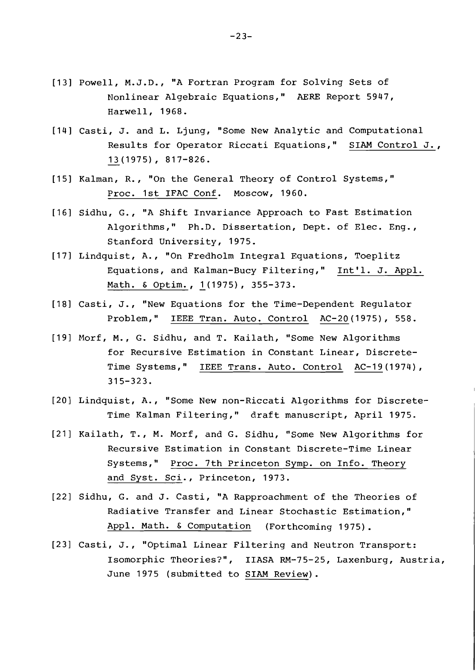- [I31 Powell, M.J.D., "A Fortran Program for Solving Sets of Nonlinear Algebraic Equations," **AERE** Report 5947, Harwell, 1968.
- [I41 Casti, J. and L. Ljung, "Some New Analytic and Computational Results for Operator Riccati Equations," SIAM Control J., , J. and L. Ljung,<br>Results for Operato<br>13 (1975), 817-826.
- [IS] Kalman, R., "On the General Theory of Control Systems," Proc. 1st IFAC Conf. Moscow, 1960.
- [I61 Sidhu, G., "A Shift Invariance Approach to Fast Estimation Algorithms," Ph.D. Dissertation, Dept. of Elec. Eng., Stanford University, 1975.
- [I71 Lindquist, A., "On Fredholm Integral Equations, Toeplitz Equations, and Kalman-Bucy Filtering," Int'l. J. Appl. Math. & Optim., 1(1975), 355-373.
- [I81 Casti, J., "New Equations for the Time-Dependent Regulator Problem," IEEE Tran. Auto. Control AC-20(1975), 558.
- [I91 Morf, M., G. Sidhu, and T. Kailath, "Some New Algorithms for Recursive Estimation in Constant Linear, Discrete-Time Systems," IEEE Trans. Auto. Control AC-19(1974),  $315 - 323.$
- [20] Lindquist, A., "Some New non-Riccati Algorithms for Discrete-Time Kalman Filtering," draft manuscript, April 1975. <sup>~</sup>
- [21] Kailath, T., M. Morf, and G. Sidhu, "Some New Algorithms for Recursive Estimation in Constant Discrete-Time Linear Systems," Proc. 7th Princeton Symp. on Info. Theory and Syst. Sci., Princeton, 1973.
- [22] Sidhu, G. and J. Casti, "A Rapproachment of the Theories of Radiative Transfer and Linear Stochastic Estimation," Appl. Math. *6* Computation (Forthcoming 1975).
- [23] Casti, J., "Optimal Linear Filtering and Neutron Transport: Isomorphic Theories?", IIASA RM-75-25, Laxenburg, Austria, June 1975 (submitted to SIAM Review).